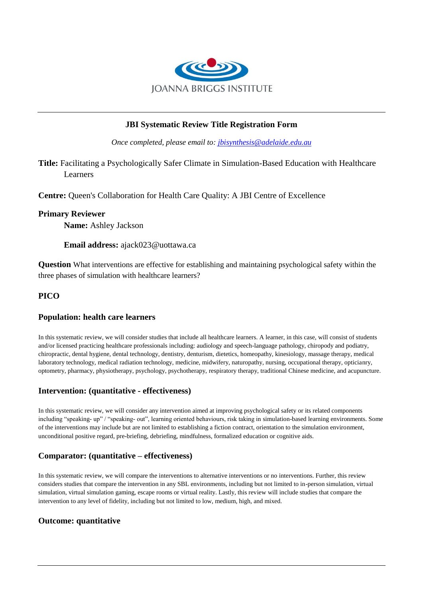

# **JBI Systematic Review Title Registration Form**

*Once completed, please email to: [jbisynthesis@adelaide.edu.au](mailto:jbisynthesis@adelaide.edu.au)*

**Title:** Facilitating a Psychologically Safer Climate in Simulation-Based Education with Healthcare Learners

**Centre:** Queen's Collaboration for Health Care Quality: A JBI Centre of Excellence

#### **Primary Reviewer**

**Name:** Ashley Jackson

#### **Email address:** ajack023@uottawa.ca

**Question** What interventions are effective for establishing and maintaining psychological safety within the three phases of simulation with healthcare learners?

## **PICO**

## **Population: health care learners**

In this systematic review, we will consider studies that include all healthcare learners. A learner, in this case, will consist of students and/or licensed practicing healthcare professionals including: audiology and speech-language pathology, chiropody and podiatry, chiropractic, dental hygiene, dental technology, dentistry, denturism, dietetics, homeopathy, kinesiology, massage therapy, medical laboratory technology, medical radiation technology, medicine, midwifery, naturopathy, nursing, occupational therapy, opticianry, optometry, pharmacy, physiotherapy, psychology, psychotherapy, respiratory therapy, traditional Chinese medicine, and acupuncture.

## **Intervention: (quantitative - effectiveness)**

In this systematic review, we will consider any intervention aimed at improving psychological safety or its related components including "speaking- up" / "speaking- out", learning oriented behaviours, risk taking in simulation-based learning environments. Some of the interventions may include but are not limited to establishing a fiction contract, orientation to the simulation environment, unconditional positive regard, pre-briefing, debriefing, mindfulness, formalized education or cognitive aids.

## **Comparator: (quantitative – effectiveness)**

In this systematic review, we will compare the interventions to alternative interventions or no interventions. Further, this review considers studies that compare the intervention in any SBL environments, including but not limited to in-person simulation, virtual simulation, virtual simulation gaming, escape rooms or virtual reality. Lastly, this review will include studies that compare the intervention to any level of fidelity, including but not limited to low, medium, high, and mixed.

## **Outcome: quantitative**